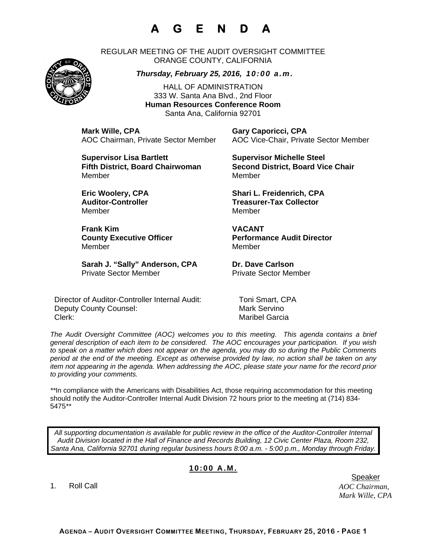## **A G E N D A**

REGULAR MEETING OF THE AUDIT OVERSIGHT COMMITTEE ORANGE COUNTY, CALIFORNIA



*Thursday, February 25, 2016, 10:00 a.m.*

HALL OF ADMINISTRATION 333 W. Santa Ana Blvd., 2nd Floor **Human Resources Conference Room**  Santa Ana, California 92701

**Mark Wille, CPA Gary Caporicci, CPA** AOC Chairman, Private Sector Member AOC Vice-Chair, Private Sector Member

**Supervisor Lisa Bartlett Supervisor Michelle Steel Supervisor Michelle Steel** MemberMember

Member Member

**Frank Kim VACANT**  Member Member

Sarah J. "Sally" Anderson, CPA Dr. Dave Carlson Private Sector Member Private Sector Member

Director of Auditor-Controller Internal Audit: Toni Smart, CPA Deputy County Counsel: Mark Servino Clerk: Maribel Garcia

**Fifth District, Board Chairwoman Second District, Board Vice Chair** 

**Eric Woolery, CPA Shari L. Freidenrich, CPA**  Auditor-Controller **Treasurer-Tax Collector** 

**County Executive Officer County Executive Officer Represent Performance Audit Director** 

*The Audit Oversight Committee (AOC) welcomes you to this meeting. This agenda contains a brief general description of each item to be considered. The AOC encourages your participation. If you wish to speak on a matter which does not appear on the agenda, you may do so during the Public Comments period at the end of the meeting. Except as otherwise provided by law, no action shall be taken on any item not appearing in the agenda. When addressing the AOC, please state your name for the record prior to providing your comments.* 

*\*\**In compliance with the Americans with Disabilities Act, those requiring accommodation for this meeting should notify the Auditor-Controller Internal Audit Division 72 hours prior to the meeting at (714) 834- 5475*\*\** 

*All supporting documentation is available for public review in the office of the Auditor-Controller Internal Audit Division located in the Hall of Finance and Records Building, 12 Civic Center Plaza, Room 232, Santa Ana, California 92701 during regular business hours 8:00 a.m. - 5:00 p.m., Monday through Friday.* 

## **10:00 A.M.**

1. Roll Call

*AOC Chairman, Mark Wille, CPA*  er de statistische Speaker in der Speaker in de Speaker in de Speaker in de Speaker in de Speaker in de Speaker